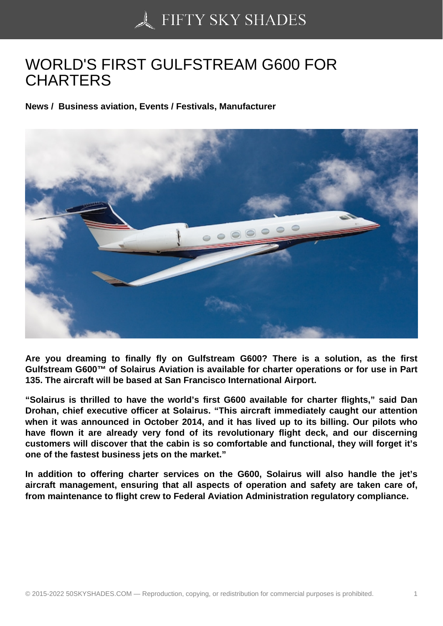## [WORLD'S FIRST GUL](https://50skyshades.com)FSTREAM G600 FOR **CHARTERS**

News / Business aviation, Events / Festivals, Manufacturer

Are you dreaming to finally fly on Gulfstream G600? There is a solution, as the first Gulfstream G600™ of Solairus Aviation is available for charter operations or for use in Part 135. The aircraft will be based at San Francisco International Airport.

"Solairus is thrilled to have the world's first G600 available for charter flights," said Dan Drohan, chief executive officer at Solairus. "This aircraft immediately caught our attention when it was announced in October 2014, and it has lived up to its billing. Our pilots who have flown it are already very fond of its revolutionary flight deck, and our discerning customers will discover that the cabin is so comfortable and functional, they will forget it's one of the fastest business jets on the market."

In addition to offering charter services on the G600, Solairus will also handle the jet's aircraft management, ensuring that all aspects of operation and safety are taken care of, from maintenance to flight crew to Federal Aviation Administration regulatory compliance.